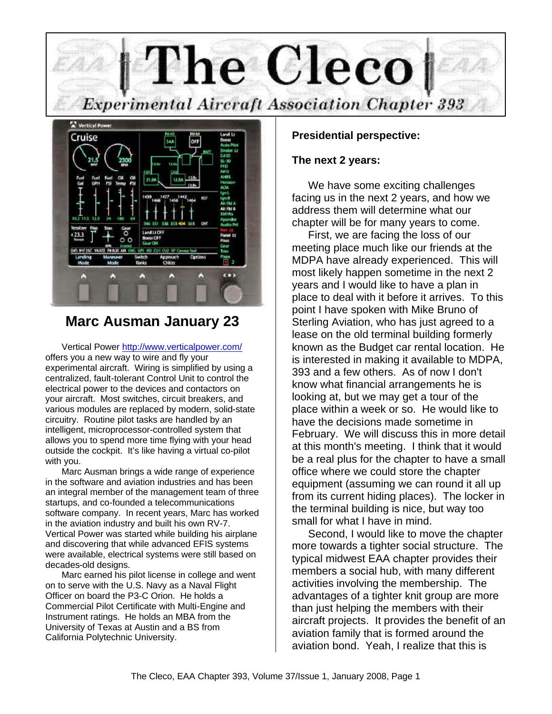



# **Marc Ausman January 23**

Vertical Power http://www.verticalpower.com/ offers you a new way to wire and fly your experimental aircraft. Wiring is simplified by using a centralized, fault-tolerant Control Unit to control the electrical power to the devices and contactors on your aircraft. Most switches, circuit breakers, and various modules are replaced by modern, solid-state circuitry. Routine pilot tasks are handled by an intelligent, microprocessor-controlled system that allows you to spend more time flying with your head outside the cockpit. It's like having a virtual co-pilot with you.

Marc Ausman brings a wide range of experience in the software and aviation industries and has been an integral member of the management team of three startups, and co-founded a telecommunications software company. In recent years, Marc has worked in the aviation industry and built his own RV-7. Vertical Power was started while building his airplane and discovering that while advanced EFIS systems were available, electrical systems were still based on decades-old designs.

Marc earned his pilot license in college and went on to serve with the U.S. Navy as a Naval Flight Officer on board the P3-C Orion. He holds a Commercial Pilot Certificate with Multi-Engine and Instrument ratings. He holds an MBA from the University of Texas at Austin and a BS from California Polytechnic University.

# **Presidential perspective:**

### **The next 2 years:**

We have some exciting challenges facing us in the next 2 years, and how we address them will determine what our chapter will be for many years to come.

First, we are facing the loss of our meeting place much like our friends at the MDPA have already experienced. This will most likely happen sometime in the next 2 years and I would like to have a plan in place to deal with it before it arrives. To this point I have spoken with Mike Bruno of Sterling Aviation, who has just agreed to a lease on the old terminal building formerly known as the Budget car rental location. He is interested in making it available to MDPA, 393 and a few others. As of now I don't know what financial arrangements he is looking at, but we may get a tour of the place within a week or so. He would like to have the decisions made sometime in February. We will discuss this in more detail at this month's meeting. I think that it would be a real plus for the chapter to have a small office where we could store the chapter equipment (assuming we can round it all up from its current hiding places). The locker in the terminal building is nice, but way too small for what I have in mind.

Second, I would like to move the chapter more towards a tighter social structure. The typical midwest EAA chapter provides their members a social hub, with many different activities involving the membership. The advantages of a tighter knit group are more than just helping the members with their aircraft projects. It provides the benefit of an aviation family that is formed around the aviation bond. Yeah, I realize that this is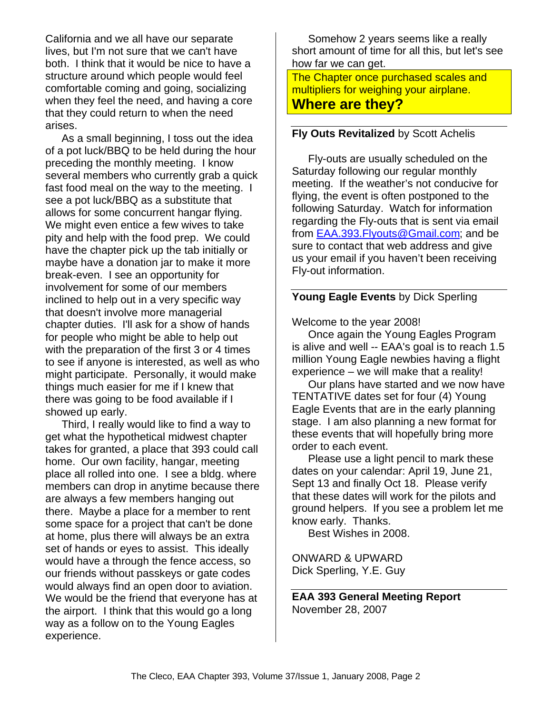California and we all have our separate lives, but I'm not sure that we can't have both. I think that it would be nice to have a structure around which people would feel comfortable coming and going, socializing when they feel the need, and having a core that they could return to when the need arises.

As a small beginning, I toss out the idea of a pot luck/BBQ to be held during the hour preceding the monthly meeting. I know several members who currently grab a quick fast food meal on the way to the meeting. I see a pot luck/BBQ as a substitute that allows for some concurrent hangar flying. We might even entice a few wives to take pity and help with the food prep. We could have the chapter pick up the tab initially or maybe have a donation jar to make it more break-even. I see an opportunity for involvement for some of our members inclined to help out in a very specific way that doesn't involve more managerial chapter duties. I'll ask for a show of hands for people who might be able to help out with the preparation of the first 3 or 4 times to see if anyone is interested, as well as who might participate. Personally, it would make things much easier for me if I knew that there was going to be food available if I showed up early.

Third, I really would like to find a way to get what the hypothetical midwest chapter takes for granted, a place that 393 could call home. Our own facility, hangar, meeting place all rolled into one. I see a bldg. where members can drop in anytime because there are always a few members hanging out there. Maybe a place for a member to rent some space for a project that can't be done at home, plus there will always be an extra set of hands or eyes to assist. This ideally would have a through the fence access, so our friends without passkeys or gate codes would always find an open door to aviation. We would be the friend that everyone has at the airport. I think that this would go a long way as a follow on to the Young Eagles experience.

Somehow 2 years seems like a really short amount of time for all this, but let's see how far we can get.

The Chapter once purchased scales and multipliers for weighing your airplane. **Where are they?**

# **Fly Outs Revitalized** by Scott Achelis

Fly-outs are usually scheduled on the Saturday following our regular monthly meeting. If the weather's not conducive for flying, the event is often postponed to the following Saturday. Watch for information regarding the Fly-outs that is sent via email from EAA.393.Flyouts@Gmail.com; and be sure to contact that web address and give us your email if you haven't been receiving Fly-out information.

# **Young Eagle Events** by Dick Sperling

Welcome to the year 2008!

Once again the Young Eagles Program is alive and well -- EAA's goal is to reach 1.5 million Young Eagle newbies having a flight experience – we will make that a reality!

Our plans have started and we now have TENTATIVE dates set for four (4) Young Eagle Events that are in the early planning stage. I am also planning a new format for these events that will hopefully bring more order to each event.

Please use a light pencil to mark these dates on your calendar: April 19, June 21, Sept 13 and finally Oct 18. Please verify that these dates will work for the pilots and ground helpers. If you see a problem let me know early. Thanks.

Best Wishes in 2008.

ONWARD & UPWARD Dick Sperling, Y.E. Guy

**EAA 393 General Meeting Report** November 28, 2007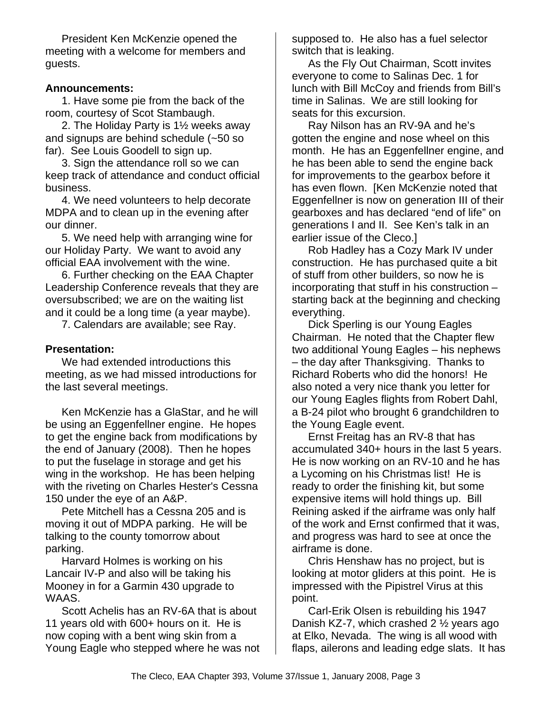President Ken McKenzie opened the meeting with a welcome for members and guests.

# **Announcements:**

1. Have some pie from the back of the room, courtesy of Scot Stambaugh.

2. The Holiday Party is 1½ weeks away and signups are behind schedule (~50 so far). See Louis Goodell to sign up.

3. Sign the attendance roll so we can keep track of attendance and conduct official business.

4. We need volunteers to help decorate MDPA and to clean up in the evening after our dinner.

5. We need help with arranging wine for our Holiday Party. We want to avoid any official EAA involvement with the wine.

6. Further checking on the EAA Chapter Leadership Conference reveals that they are oversubscribed; we are on the waiting list and it could be a long time (a year maybe).

7. Calendars are available; see Ray.

# **Presentation:**

We had extended introductions this meeting, as we had missed introductions for the last several meetings.

Ken McKenzie has a GlaStar, and he will be using an Eggenfellner engine. He hopes to get the engine back from modifications by the end of January (2008). Then he hopes to put the fuselage in storage and get his wing in the workshop. He has been helping with the riveting on Charles Hester's Cessna 150 under the eye of an A&P.

Pete Mitchell has a Cessna 205 and is moving it out of MDPA parking. He will be talking to the county tomorrow about parking.

Harvard Holmes is working on his Lancair IV-P and also will be taking his Mooney in for a Garmin 430 upgrade to WAAS.

Scott Achelis has an RV-6A that is about 11 years old with 600+ hours on it. He is now coping with a bent wing skin from a Young Eagle who stepped where he was not supposed to. He also has a fuel selector switch that is leaking.

As the Fly Out Chairman, Scott invites everyone to come to Salinas Dec. 1 for lunch with Bill McCoy and friends from Bill's time in Salinas. We are still looking for seats for this excursion.

Ray Nilson has an RV-9A and he's gotten the engine and nose wheel on this month. He has an Eggenfellner engine, and he has been able to send the engine back for improvements to the gearbox before it has even flown. [Ken McKenzie noted that Eggenfellner is now on generation III of their gearboxes and has declared "end of life" on generations I and II. See Ken's talk in an earlier issue of the Cleco.]

Rob Hadley has a Cozy Mark IV under construction. He has purchased quite a bit of stuff from other builders, so now he is incorporating that stuff in his construction – starting back at the beginning and checking everything.

Dick Sperling is our Young Eagles Chairman. He noted that the Chapter flew two additional Young Eagles – his nephews – the day after Thanksgiving. Thanks to Richard Roberts who did the honors! He also noted a very nice thank you letter for our Young Eagles flights from Robert Dahl, a B-24 pilot who brought 6 grandchildren to the Young Eagle event.

Ernst Freitag has an RV-8 that has accumulated 340+ hours in the last 5 years. He is now working on an RV-10 and he has a Lycoming on his Christmas list! He is ready to order the finishing kit, but some expensive items will hold things up. Bill Reining asked if the airframe was only half of the work and Ernst confirmed that it was, and progress was hard to see at once the airframe is done.

Chris Henshaw has no project, but is looking at motor gliders at this point. He is impressed with the Pipistrel Virus at this point.

Carl-Erik Olsen is rebuilding his 1947 Danish KZ-7, which crashed 2 ½ years ago at Elko, Nevada. The wing is all wood with flaps, ailerons and leading edge slats. It has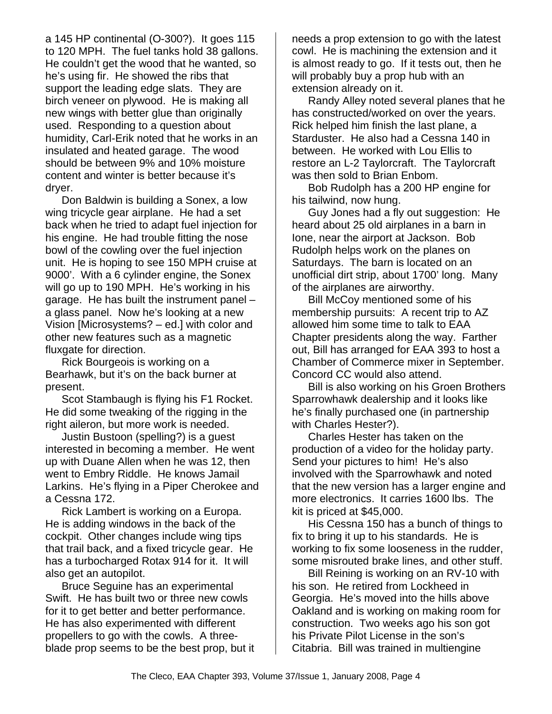a 145 HP continental (O-300?). It goes 115 to 120 MPH. The fuel tanks hold 38 gallons. He couldn't get the wood that he wanted, so he's using fir. He showed the ribs that support the leading edge slats. They are birch veneer on plywood. He is making all new wings with better glue than originally used. Responding to a question about humidity, Carl-Erik noted that he works in an insulated and heated garage. The wood should be between 9% and 10% moisture content and winter is better because it's dryer.

Don Baldwin is building a Sonex, a low wing tricycle gear airplane. He had a set back when he tried to adapt fuel injection for his engine. He had trouble fitting the nose bowl of the cowling over the fuel injection unit. He is hoping to see 150 MPH cruise at 9000'. With a 6 cylinder engine, the Sonex will go up to 190 MPH. He's working in his garage. He has built the instrument panel – a glass panel. Now he's looking at a new Vision [Microsystems? – ed.] with color and other new features such as a magnetic fluxgate for direction.

Rick Bourgeois is working on a Bearhawk, but it's on the back burner at present.

Scot Stambaugh is flying his F1 Rocket. He did some tweaking of the rigging in the right aileron, but more work is needed.

Justin Bustoon (spelling?) is a guest interested in becoming a member. He went up with Duane Allen when he was 12, then went to Embry Riddle. He knows Jamail Larkins. He's flying in a Piper Cherokee and a Cessna 172.

Rick Lambert is working on a Europa. He is adding windows in the back of the cockpit. Other changes include wing tips that trail back, and a fixed tricycle gear. He has a turbocharged Rotax 914 for it. It will also get an autopilot.

Bruce Seguine has an experimental Swift. He has built two or three new cowls for it to get better and better performance. He has also experimented with different propellers to go with the cowls. A threeblade prop seems to be the best prop, but it needs a prop extension to go with the latest cowl. He is machining the extension and it is almost ready to go. If it tests out, then he will probably buy a prop hub with an extension already on it.

Randy Alley noted several planes that he has constructed/worked on over the years. Rick helped him finish the last plane, a Starduster. He also had a Cessna 140 in between. He worked with Lou Ellis to restore an L-2 Taylorcraft. The Taylorcraft was then sold to Brian Enbom.

Bob Rudolph has a 200 HP engine for his tailwind, now hung.

Guy Jones had a fly out suggestion: He heard about 25 old airplanes in a barn in Ione, near the airport at Jackson. Bob Rudolph helps work on the planes on Saturdays. The barn is located on an unofficial dirt strip, about 1700' long. Many of the airplanes are airworthy.

Bill McCoy mentioned some of his membership pursuits: A recent trip to AZ allowed him some time to talk to EAA Chapter presidents along the way. Farther out, Bill has arranged for EAA 393 to host a Chamber of Commerce mixer in September. Concord CC would also attend.

Bill is also working on his Groen Brothers Sparrowhawk dealership and it looks like he's finally purchased one (in partnership with Charles Hester?).

Charles Hester has taken on the production of a video for the holiday party. Send your pictures to him! He's also involved with the Sparrowhawk and noted that the new version has a larger engine and more electronics. It carries 1600 lbs. The kit is priced at \$45,000.

His Cessna 150 has a bunch of things to fix to bring it up to his standards. He is working to fix some looseness in the rudder, some misrouted brake lines, and other stuff.

Bill Reining is working on an RV-10 with his son. He retired from Lockheed in Georgia. He's moved into the hills above Oakland and is working on making room for construction. Two weeks ago his son got his Private Pilot License in the son's Citabria. Bill was trained in multiengine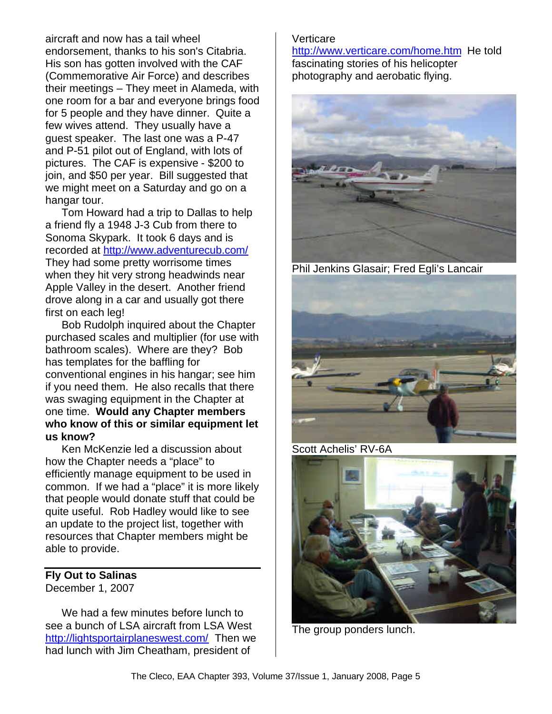aircraft and now has a tail wheel endorsement, thanks to his son's Citabria. His son has gotten involved with the CAF (Commemorative Air Force) and describes their meetings – They meet in Alameda, with one room for a bar and everyone brings food for 5 people and they have dinner. Quite a few wives attend. They usually have a guest speaker. The last one was a P-47 and P-51 pilot out of England, with lots of pictures. The CAF is expensive - \$200 to join, and \$50 per year. Bill suggested that we might meet on a Saturday and go on a hangar tour.

Tom Howard had a trip to Dallas to help a friend fly a 1948 J-3 Cub from there to Sonoma Skypark. It took 6 days and is recorded at http://www.adventurecub.com/ They had some pretty worrisome times when they hit very strong headwinds near Apple Valley in the desert. Another friend drove along in a car and usually got there first on each leg!

Bob Rudolph inquired about the Chapter purchased scales and multiplier (for use with bathroom scales). Where are they? Bob has templates for the baffling for conventional engines in his hangar; see him if you need them. He also recalls that there was swaging equipment in the Chapter at one time. **Would any Chapter members who know of this or similar equipment let us know?**

Ken McKenzie led a discussion about how the Chapter needs a "place" to efficiently manage equipment to be used in common. If we had a "place" it is more likely that people would donate stuff that could be quite useful. Rob Hadley would like to see an update to the project list, together with resources that Chapter members might be able to provide.

### **Fly Out to Salinas** December 1, 2007

We had a few minutes before lunch to see a bunch of LSA aircraft from LSA West http://lightsportairplaneswest.com/ Then we had lunch with Jim Cheatham, president of

# Verticare

http://www.verticare.com/home.htm He told fascinating stories of his helicopter photography and aerobatic flying.



Phil Jenkins Glasair; Fred Egli's Lancair



Scott Achelis' RV-6A



The group ponders lunch.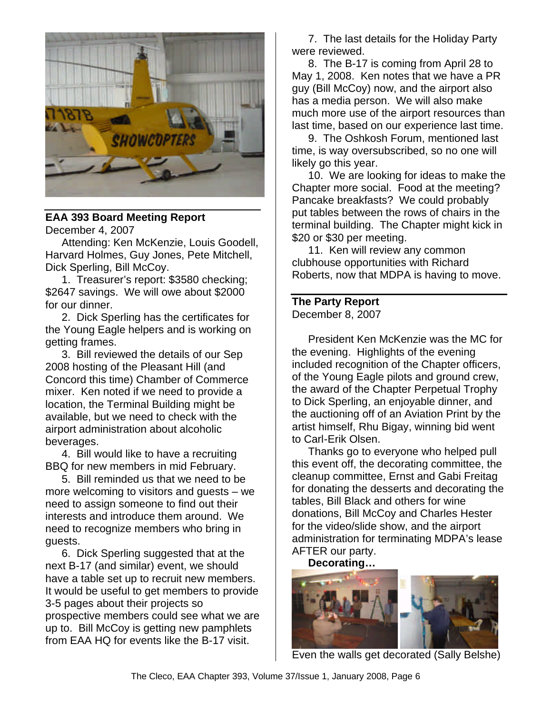

# **EAA 393 Board Meeting Report**

December 4, 2007

Attending: Ken McKenzie, Louis Goodell, Harvard Holmes, Guy Jones, Pete Mitchell, Dick Sperling, Bill McCoy.

1. Treasurer's report: \$3580 checking; \$2647 savings. We will owe about \$2000 for our dinner.

2. Dick Sperling has the certificates for the Young Eagle helpers and is working on getting frames.

3. Bill reviewed the details of our Sep 2008 hosting of the Pleasant Hill (and Concord this time) Chamber of Commerce mixer. Ken noted if we need to provide a location, the Terminal Building might be available, but we need to check with the airport administration about alcoholic beverages.

4. Bill would like to have a recruiting BBQ for new members in mid February.

5. Bill reminded us that we need to be more welcoming to visitors and guests – we need to assign someone to find out their interests and introduce them around. We need to recognize members who bring in guests.

6. Dick Sperling suggested that at the next B-17 (and similar) event, we should have a table set up to recruit new members. It would be useful to get members to provide 3-5 pages about their projects so prospective members could see what we are up to. Bill McCoy is getting new pamphlets from EAA HQ for events like the B-17 visit.

7. The last details for the Holiday Party were reviewed.

8. The B-17 is coming from April 28 to May 1, 2008. Ken notes that we have a PR guy (Bill McCoy) now, and the airport also has a media person. We will also make much more use of the airport resources than last time, based on our experience last time.

9. The Oshkosh Forum, mentioned last time, is way oversubscribed, so no one will likely go this year.

10. We are looking for ideas to make the Chapter more social. Food at the meeting? Pancake breakfasts? We could probably put tables between the rows of chairs in the terminal building. The Chapter might kick in \$20 or \$30 per meeting.

11. Ken will review any common clubhouse opportunities with Richard Roberts, now that MDPA is having to move.

# **The Party Report**

December 8, 2007

President Ken McKenzie was the MC for the evening. Highlights of the evening included recognition of the Chapter officers, of the Young Eagle pilots and ground crew, the award of the Chapter Perpetual Trophy to Dick Sperling, an enjoyable dinner, and the auctioning off of an Aviation Print by the artist himself, Rhu Bigay, winning bid went to Carl-Erik Olsen.

Thanks go to everyone who helped pull this event off, the decorating committee, the cleanup committee, Ernst and Gabi Freitag for donating the desserts and decorating the tables, Bill Black and others for wine donations, Bill McCoy and Charles Hester for the video/slide show, and the airport administration for terminating MDPA's lease AFTER our party.

**Decorating…**



Even the walls get decorated (Sally Belshe)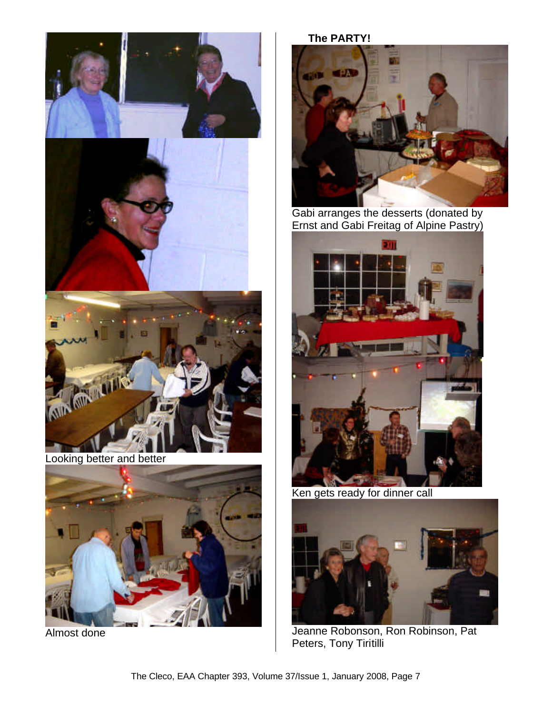





Looking better and better



Almost done

**The PARTY!**



Gabi arranges the desserts (donated by Ernst and Gabi Freitag of Alpine Pastry)



Ken gets ready for dinner call



Jeanne Robonson, Ron Robinson, Pat Peters, Tony Tiritilli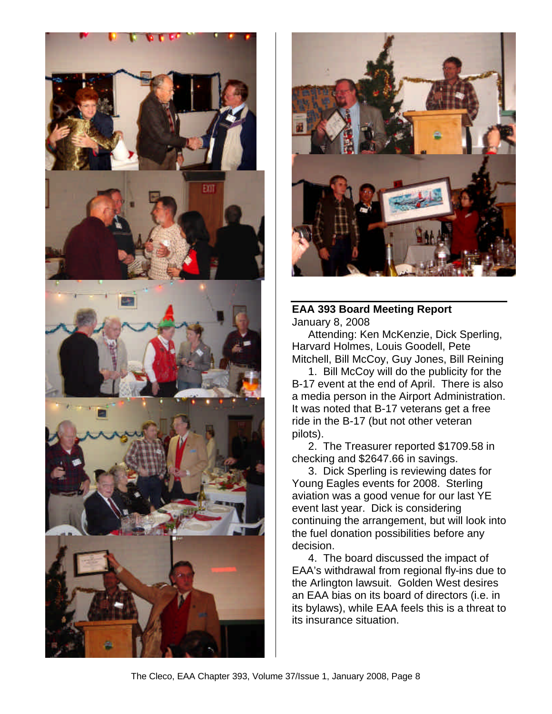



# **EAA 393 Board Meeting Report** January 8, 2008

Attending: Ken McKenzie, Dick Sperling, Harvard Holmes, Louis Goodell, Pete Mitchell, Bill McCoy, Guy Jones, Bill Reining

1. Bill McCoy will do the publicity for the B-17 event at the end of April. There is also a media person in the Airport Administration. It was noted that B-17 veterans get a free ride in the B-17 (but not other veteran pilots).

2. The Treasurer reported \$1709.58 in checking and \$2647.66 in savings.

3. Dick Sperling is reviewing dates for Young Eagles events for 2008. Sterling aviation was a good venue for our last YE event last year. Dick is considering continuing the arrangement, but will look into the fuel donation possibilities before any decision.

4. The board discussed the impact of EAA's withdrawal from regional fly-ins due to the Arlington lawsuit. Golden West desires an EAA bias on its board of directors (i.e. in its bylaws), while EAA feels this is a threat to its insurance situation.

The Cleco, EAA Chapter 393, Volume 37/Issue 1, January 2008, Page 8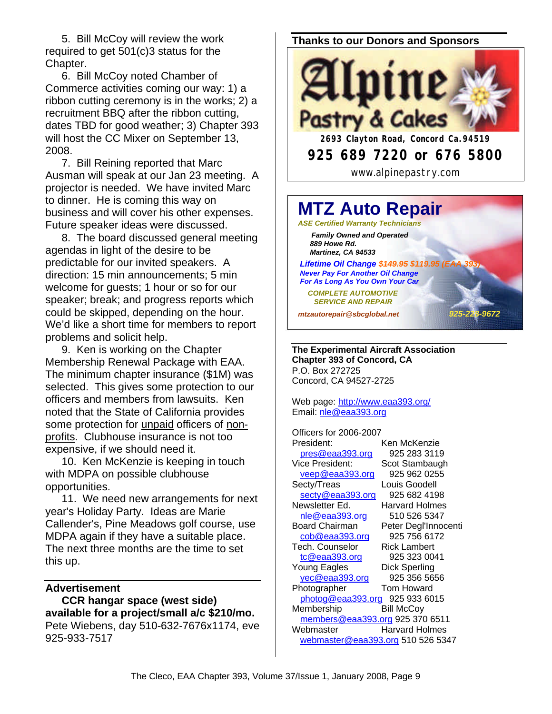5. Bill McCoy will review the work required to get 501(c)3 status for the Chapter.

6. Bill McCoy noted Chamber of Commerce activities coming our way: 1) a ribbon cutting ceremony is in the works; 2) a recruitment BBQ after the ribbon cutting, dates TBD for good weather; 3) Chapter 393 will host the CC Mixer on September 13, 2008.

7. Bill Reining reported that Marc Ausman will speak at our Jan 23 meeting. A projector is needed. We have invited Marc to dinner. He is coming this way on business and will cover his other expenses. Future speaker ideas were discussed.

8. The board discussed general meeting agendas in light of the desire to be predictable for our invited speakers. A direction: 15 min announcements; 5 min welcome for guests; 1 hour or so for our speaker; break; and progress reports which could be skipped, depending on the hour. We'd like a short time for members to report problems and solicit help.

9. Ken is working on the Chapter Membership Renewal Package with EAA. The minimum chapter insurance (\$1M) was selected. This gives some protection to our officers and members from lawsuits. Ken noted that the State of California provides some protection for *unpaid* officers of nonprofits. Clubhouse insurance is not too expensive, if we should need it.

10. Ken McKenzie is keeping in touch with MDPA on possible clubhouse opportunities.

11. We need new arrangements for next year's Holiday Party. Ideas are Marie Callender's, Pine Meadows golf course, use MDPA again if they have a suitable place. The next three months are the time to set this up.

### **Advertisement**

**CCR hangar space (west side) available for a project/small a/c \$210/mo.** Pete Wiebens, day 510-632-7676x1174, eve 925-933-7517

### **Thanks to our Donors and Sponsors**



#### **MTZ Auto Repair** *ASE Certified Warranty Technicians Family Owned and Operated 889 Howe Rd. Martinez, CA 94533* **Lifetime Oil Change \$449.95 \$119.95 (I**  *Never Pay For Another Oil Change For As Long As You Own Your Car COMPLETE AUTOMOTIVE SERVICE AND REPAIR mtzautorepair@sbcglobal.net 925-228-9672*

**The Experimental Aircraft Association Chapter 393 of Concord, CA** P.O. Box 272725 Concord, CA 94527-2725

Web page: http://www.eaa393.org/ Email: nle@eaa393.org

Officers for 2006-2007 President: Ken McKenzie pres@eaa393.org 925 283 3119 Vice President: Scot Stambaugh veep@eaa393.org 925 962 0255 Secty/Treas Louis Goodell secty@eaa393.org 925 682 4198 Newsletter Ed. Harvard Holmes nle@eaa393.org 510 526 5347 Board Chairman Peter Degl'Innocenti cob@eaa393.org 925 756 6172 Tech. Counselor Rick Lambert tc@eaa393.org 925 323 0041 Young Eagles Dick Sperling yec@eaa393.org 925 356 5656 Photographer **Tom Howard** photog@eaa393.org 925 933 6015 Membership Bill McCoy members@eaa393.org 925 370 6511 Webmaster **Harvard Holmes** webmaster@eaa393.org 510 526 5347